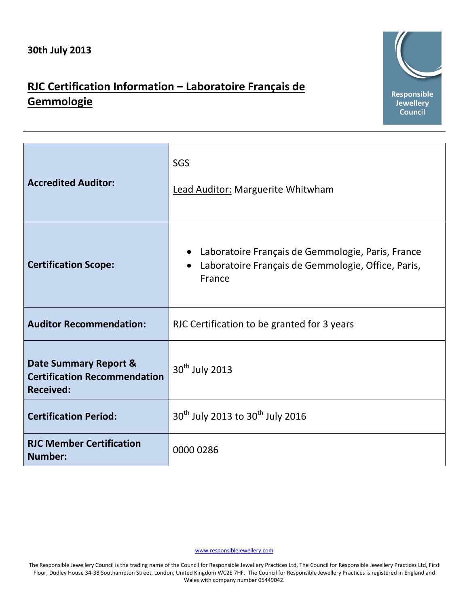## **RJC Certification Information – Laboratoire Français de Gemmologie**



| <b>Accredited Auditor:</b>                                                       | SGS<br>Lead Auditor: Marguerite Whitwham                                                                                       |
|----------------------------------------------------------------------------------|--------------------------------------------------------------------------------------------------------------------------------|
| <b>Certification Scope:</b>                                                      | Laboratoire Français de Gemmologie, Paris, France<br>Laboratoire Français de Gemmologie, Office, Paris,<br>$\bullet$<br>France |
| <b>Auditor Recommendation:</b>                                                   | RJC Certification to be granted for 3 years                                                                                    |
| Date Summary Report &<br><b>Certification Recommendation</b><br><b>Received:</b> | 30 <sup>th</sup> July 2013                                                                                                     |
| <b>Certification Period:</b>                                                     | 30 <sup>th</sup> July 2013 to 30 <sup>th</sup> July 2016                                                                       |
| <b>RJC Member Certification</b><br><b>Number:</b>                                | 0000 0286                                                                                                                      |

[www.responsiblejewellery.com](http://www.responsiblejewellery.com/)

The Responsible Jewellery Council is the trading name of the Council for Responsible Jewellery Practices Ltd, The Council for Responsible Jewellery Practices Ltd, First Floor, Dudley House 34-38 Southampton Street, London, United Kingdom WC2E 7HF. The Council for Responsible Jewellery Practices is registered in England and Wales with company number 05449042.